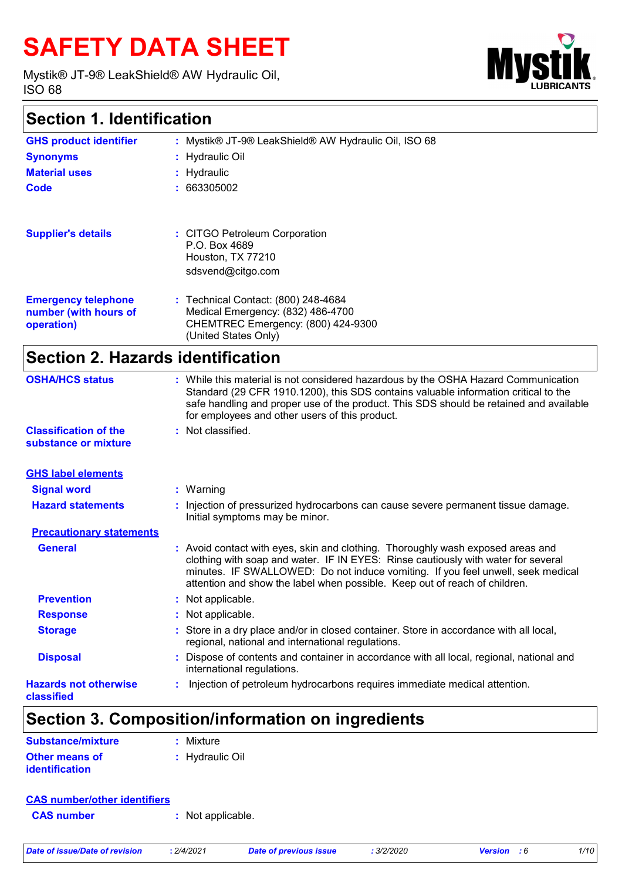# **SAFETY DATA SHEET**

Mystik® JT-9® LeakShield® AW Hydraulic Oil, ISO 68



# **Section 1. Identification**

| <b>GHS product identifier</b>                                     | : Mystik® JT-9® LeakShield® AW Hydraulic Oil, ISO 68                                                                                   |
|-------------------------------------------------------------------|----------------------------------------------------------------------------------------------------------------------------------------|
| <b>Synonyms</b>                                                   | : Hydraulic Oil                                                                                                                        |
| <b>Material uses</b>                                              | : Hydraulic                                                                                                                            |
| Code                                                              | : 663305002                                                                                                                            |
|                                                                   |                                                                                                                                        |
| <b>Supplier's details</b>                                         | : CITGO Petroleum Corporation<br>P.O. Box 4689<br>Houston, TX 77210<br>sdsvend@citgo.com                                               |
| <b>Emergency telephone</b><br>number (with hours of<br>operation) | : Technical Contact: (800) 248-4684<br>Medical Emergency: (832) 486-4700<br>CHEMTREC Emergency: (800) 424-9300<br>(United States Only) |
|                                                                   |                                                                                                                                        |

# **Section 2. Hazards identification**

| <b>OSHA/HCS status</b><br><b>Classification of the</b><br>substance or mixture | for employees and other users of this product.<br>: Not classified. | : While this material is not considered hazardous by the OSHA Hazard Communication<br>Standard (29 CFR 1910.1200), this SDS contains valuable information critical to the<br>safe handling and proper use of the product. This SDS should be retained and available                                                                   |
|--------------------------------------------------------------------------------|---------------------------------------------------------------------|---------------------------------------------------------------------------------------------------------------------------------------------------------------------------------------------------------------------------------------------------------------------------------------------------------------------------------------|
|                                                                                |                                                                     |                                                                                                                                                                                                                                                                                                                                       |
| <b>GHS label elements</b>                                                      |                                                                     |                                                                                                                                                                                                                                                                                                                                       |
| <b>Signal word</b>                                                             | $:$ Warning                                                         |                                                                                                                                                                                                                                                                                                                                       |
| <b>Hazard statements</b>                                                       | Initial symptoms may be minor.                                      | : Injection of pressurized hydrocarbons can cause severe permanent tissue damage.                                                                                                                                                                                                                                                     |
| <b>Precautionary statements</b>                                                |                                                                     |                                                                                                                                                                                                                                                                                                                                       |
| <b>General</b>                                                                 |                                                                     | : Avoid contact with eyes, skin and clothing. Thoroughly wash exposed areas and<br>clothing with soap and water. IF IN EYES: Rinse cautiously with water for several<br>minutes. IF SWALLOWED: Do not induce vomiting. If you feel unwell, seek medical<br>attention and show the label when possible. Keep out of reach of children. |
| <b>Prevention</b>                                                              | : Not applicable.                                                   |                                                                                                                                                                                                                                                                                                                                       |
| <b>Response</b>                                                                | : Not applicable.                                                   |                                                                                                                                                                                                                                                                                                                                       |
| <b>Storage</b>                                                                 | regional, national and international regulations.                   | : Store in a dry place and/or in closed container. Store in accordance with all local,                                                                                                                                                                                                                                                |
| <b>Disposal</b>                                                                | international regulations.                                          | : Dispose of contents and container in accordance with all local, regional, national and                                                                                                                                                                                                                                              |
| <b>Hazards not otherwise</b><br>classified                                     |                                                                     | Injection of petroleum hydrocarbons requires immediate medical attention.                                                                                                                                                                                                                                                             |

# **Section 3. Composition/information on ingredients**

| Substance/mixture     | $:$ Mixture     |
|-----------------------|-----------------|
| <b>Other means of</b> | : Hydraulic Oil |
| <i>identification</i> |                 |

### **CAS number/other identifiers**

**CAS number :** Not applicable.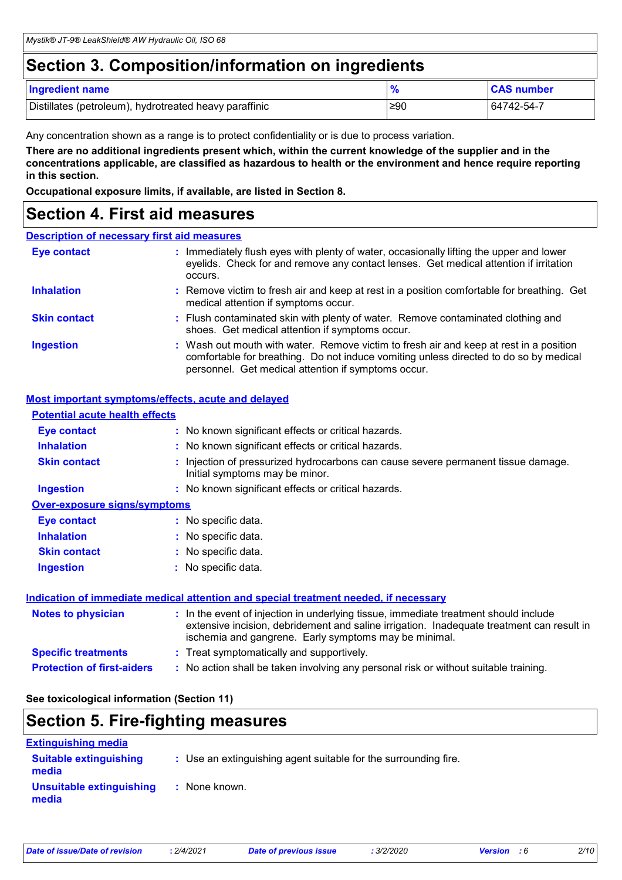# **Section 3. Composition/information on ingredients**

| <b>Ingredient name</b>                                 |     | <b>CAS number</b> |
|--------------------------------------------------------|-----|-------------------|
| Distillates (petroleum), hydrotreated heavy paraffinic | ≥90 | 64742-54-7        |

Any concentration shown as a range is to protect confidentiality or is due to process variation.

**There are no additional ingredients present which, within the current knowledge of the supplier and in the concentrations applicable, are classified as hazardous to health or the environment and hence require reporting in this section.**

**Occupational exposure limits, if available, are listed in Section 8.**

### **Section 4. First aid measures**

### **Description of necessary first aid measures**

| <b>Eye contact</b>  | : Immediately flush eyes with plenty of water, occasionally lifting the upper and lower<br>eyelids. Check for and remove any contact lenses. Get medical attention if irritation<br>occurs.                                            |
|---------------------|----------------------------------------------------------------------------------------------------------------------------------------------------------------------------------------------------------------------------------------|
| <b>Inhalation</b>   | : Remove victim to fresh air and keep at rest in a position comfortable for breathing. Get<br>medical attention if symptoms occur.                                                                                                     |
| <b>Skin contact</b> | : Flush contaminated skin with plenty of water. Remove contaminated clothing and<br>shoes. Get medical attention if symptoms occur.                                                                                                    |
| <b>Ingestion</b>    | : Wash out mouth with water. Remove victim to fresh air and keep at rest in a position<br>comfortable for breathing. Do not induce vomiting unless directed to do so by medical<br>personnel. Get medical attention if symptoms occur. |

### **Most important symptoms/effects, acute and delayed**

| <b>Potential acute health effects</b> |                                                                                                                                                                                                                                            |
|---------------------------------------|--------------------------------------------------------------------------------------------------------------------------------------------------------------------------------------------------------------------------------------------|
| <b>Eye contact</b>                    | : No known significant effects or critical hazards.                                                                                                                                                                                        |
| <b>Inhalation</b>                     | : No known significant effects or critical hazards.                                                                                                                                                                                        |
| <b>Skin contact</b>                   | : Injection of pressurized hydrocarbons can cause severe permanent tissue damage.<br>Initial symptoms may be minor.                                                                                                                        |
| <b>Ingestion</b>                      | : No known significant effects or critical hazards.                                                                                                                                                                                        |
| <b>Over-exposure signs/symptoms</b>   |                                                                                                                                                                                                                                            |
| <b>Eye contact</b>                    | : No specific data.                                                                                                                                                                                                                        |
| <b>Inhalation</b>                     | : No specific data.                                                                                                                                                                                                                        |
| <b>Skin contact</b>                   | : No specific data.                                                                                                                                                                                                                        |
| <b>Ingestion</b>                      | : No specific data.                                                                                                                                                                                                                        |
|                                       | <u>Indication of immediate medical attention and special treatment needed, if necessary</u>                                                                                                                                                |
| <b>Notes to physician</b>             | : In the event of injection in underlying tissue, immediate treatment should include<br>extensive incision, debridement and saline irrigation. Inadequate treatment can result in<br>ischemia and gangrene. Early symptoms may be minimal. |
| <b>Specific treatments</b>            | : Treat symptomatically and supportively.                                                                                                                                                                                                  |
| <b>Protection of first-aiders</b>     | : No action shall be taken involving any personal risk or without suitable training.                                                                                                                                                       |

**See toxicological information (Section 11)**

### **Section 5. Fire-fighting measures**

| <b>Extinguishing media</b>             |                                                                 |  |
|----------------------------------------|-----------------------------------------------------------------|--|
| <b>Suitable extinguishing</b><br>media | : Use an extinguishing agent suitable for the surrounding fire. |  |
| Unsuitable extinguishing<br>media      | : None known.                                                   |  |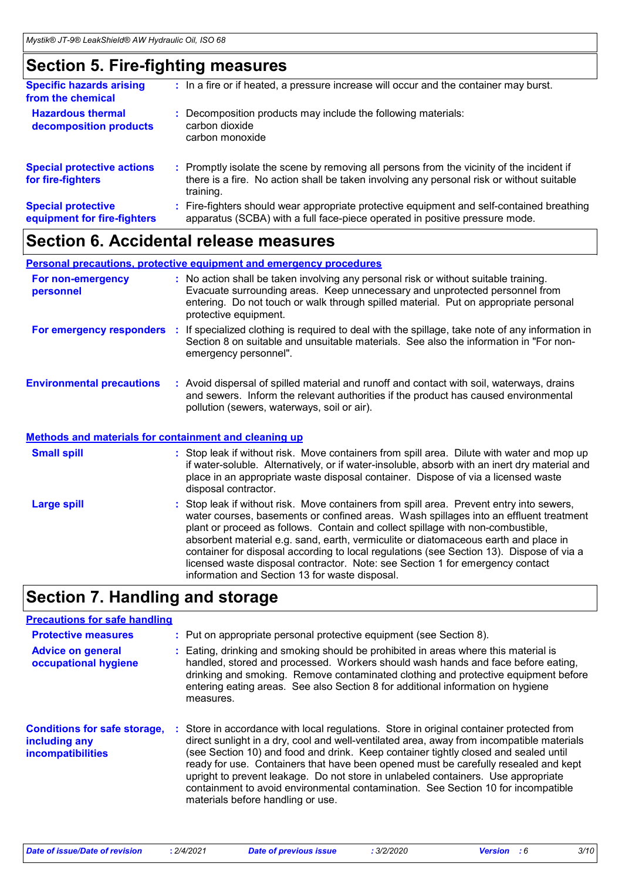# **Section 5. Fire-fighting measures**

| <b>Specific hazards arising</b><br>from the chemical     | : In a fire or if heated, a pressure increase will occur and the container may burst.                                                                                                               |
|----------------------------------------------------------|-----------------------------------------------------------------------------------------------------------------------------------------------------------------------------------------------------|
| <b>Hazardous thermal</b><br>decomposition products       | Decomposition products may include the following materials:<br>carbon dioxide<br>carbon monoxide                                                                                                    |
| <b>Special protective actions</b><br>for fire-fighters   | : Promptly isolate the scene by removing all persons from the vicinity of the incident if<br>there is a fire. No action shall be taken involving any personal risk or without suitable<br>training. |
| <b>Special protective</b><br>equipment for fire-fighters | Fire-fighters should wear appropriate protective equipment and self-contained breathing<br>apparatus (SCBA) with a full face-piece operated in positive pressure mode.                              |
|                                                          |                                                                                                                                                                                                     |

### **Section 6. Accidental release measures**

### **Personal precautions, protective equipment and emergency procedures**

| For non-emergency<br>personnel                               | : No action shall be taken involving any personal risk or without suitable training.<br>Evacuate surrounding areas. Keep unnecessary and unprotected personnel from<br>entering. Do not touch or walk through spilled material. Put on appropriate personal<br>protective equipment.                                                                                                                                                                    |
|--------------------------------------------------------------|---------------------------------------------------------------------------------------------------------------------------------------------------------------------------------------------------------------------------------------------------------------------------------------------------------------------------------------------------------------------------------------------------------------------------------------------------------|
|                                                              | For emergency responders : If specialized clothing is required to deal with the spillage, take note of any information in<br>Section 8 on suitable and unsuitable materials. See also the information in "For non-<br>emergency personnel".                                                                                                                                                                                                             |
| <b>Environmental precautions</b>                             | : Avoid dispersal of spilled material and runoff and contact with soil, waterways, drains<br>and sewers. Inform the relevant authorities if the product has caused environmental<br>pollution (sewers, waterways, soil or air).                                                                                                                                                                                                                         |
| <b>Methods and materials for containment and cleaning up</b> |                                                                                                                                                                                                                                                                                                                                                                                                                                                         |
| <b>Small spill</b>                                           | : Stop leak if without risk. Move containers from spill area. Dilute with water and mop up<br>if water-soluble. Alternatively, or if water-insoluble, absorb with an inert dry material and<br>place in an appropriate waste disposal container. Dispose of via a licensed waste<br>disposal contractor.                                                                                                                                                |
| <b>Large spill</b>                                           | : Stop leak if without risk. Move containers from spill area. Prevent entry into sewers,<br>water courses, basements or confined areas. Wash spillages into an effluent treatment<br>plant or proceed as follows. Contain and collect spillage with non-combustible,<br>absorbent material e.g. sand, earth, vermiculite or diatomaceous earth and place in<br>container for disposal according to local regulations (see Section 13). Dispose of via a |

# **Section 7. Handling and storage**

### **Precautions for safe handling**

| <b>Protective measures</b>                                                       | : Put on appropriate personal protective equipment (see Section 8).                                                                                                                                                                                                                                                                                                                                                                                                                                                                                                              |
|----------------------------------------------------------------------------------|----------------------------------------------------------------------------------------------------------------------------------------------------------------------------------------------------------------------------------------------------------------------------------------------------------------------------------------------------------------------------------------------------------------------------------------------------------------------------------------------------------------------------------------------------------------------------------|
| <b>Advice on general</b><br>occupational hygiene                                 | Eating, drinking and smoking should be prohibited in areas where this material is<br>handled, stored and processed. Workers should wash hands and face before eating,<br>drinking and smoking. Remove contaminated clothing and protective equipment before<br>entering eating areas. See also Section 8 for additional information on hygiene<br>measures.                                                                                                                                                                                                                      |
| <b>Conditions for safe storage,</b><br>including any<br><b>incompatibilities</b> | Store in accordance with local regulations. Store in original container protected from<br>direct sunlight in a dry, cool and well-ventilated area, away from incompatible materials<br>(see Section 10) and food and drink. Keep container tightly closed and sealed until<br>ready for use. Containers that have been opened must be carefully resealed and kept<br>upright to prevent leakage. Do not store in unlabeled containers. Use appropriate<br>containment to avoid environmental contamination. See Section 10 for incompatible<br>materials before handling or use. |

information and Section 13 for waste disposal.

licensed waste disposal contractor. Note: see Section 1 for emergency contact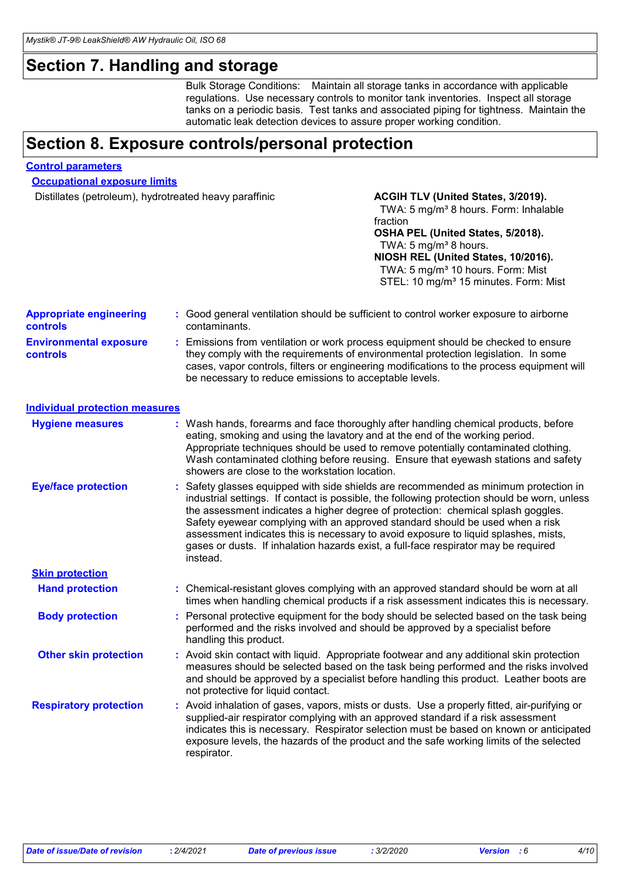# **Section 7. Handling and storage**

Bulk Storage Conditions: Maintain all storage tanks in accordance with applicable regulations. Use necessary controls to monitor tank inventories. Inspect all storage tanks on a periodic basis. Test tanks and associated piping for tightness. Maintain the automatic leak detection devices to assure proper working condition.

# **Section 8. Exposure controls/personal protection**

#### **Control parameters**

**Occupational exposure limits**

Distillates (petroleum), hydrotreated heavy paraffinic **ACGIH TLV (United States, 3/2019).** 

### TWA: 5 mg/m<sup>3</sup> 8 hours. Form: Inhalable fraction **OSHA PEL (United States, 5/2018).** TWA:  $5 \text{ mg/m}^3$  8 hours. **NIOSH REL (United States, 10/2016).** TWA: 5 mg/m<sup>3</sup> 10 hours. Form: Mist STEL: 10 mg/m<sup>3</sup> 15 minutes. Form: Mist

| <b>Appropriate engineering</b><br>controls       | : Good general ventilation should be sufficient to control worker exposure to airborne<br>contaminants.                                                                                                                                                                                                                                                                                                                                                                                                                                             |
|--------------------------------------------------|-----------------------------------------------------------------------------------------------------------------------------------------------------------------------------------------------------------------------------------------------------------------------------------------------------------------------------------------------------------------------------------------------------------------------------------------------------------------------------------------------------------------------------------------------------|
| <b>Environmental exposure</b><br><b>controls</b> | : Emissions from ventilation or work process equipment should be checked to ensure<br>they comply with the requirements of environmental protection legislation. In some<br>cases, vapor controls, filters or engineering modifications to the process equipment will<br>be necessary to reduce emissions to acceptable levels.                                                                                                                                                                                                                     |
| <b>Individual protection measures</b>            |                                                                                                                                                                                                                                                                                                                                                                                                                                                                                                                                                     |
| <b>Hygiene measures</b>                          | : Wash hands, forearms and face thoroughly after handling chemical products, before<br>eating, smoking and using the lavatory and at the end of the working period.<br>Appropriate techniques should be used to remove potentially contaminated clothing.<br>Wash contaminated clothing before reusing. Ensure that eyewash stations and safety<br>showers are close to the workstation location.                                                                                                                                                   |
| <b>Eye/face protection</b>                       | : Safety glasses equipped with side shields are recommended as minimum protection in<br>industrial settings. If contact is possible, the following protection should be worn, unless<br>the assessment indicates a higher degree of protection: chemical splash goggles.<br>Safety eyewear complying with an approved standard should be used when a risk<br>assessment indicates this is necessary to avoid exposure to liquid splashes, mists,<br>gases or dusts. If inhalation hazards exist, a full-face respirator may be required<br>instead. |
| <b>Skin protection</b>                           |                                                                                                                                                                                                                                                                                                                                                                                                                                                                                                                                                     |
| <b>Hand protection</b>                           | : Chemical-resistant gloves complying with an approved standard should be worn at all<br>times when handling chemical products if a risk assessment indicates this is necessary.                                                                                                                                                                                                                                                                                                                                                                    |
| <b>Body protection</b>                           | : Personal protective equipment for the body should be selected based on the task being<br>performed and the risks involved and should be approved by a specialist before<br>handling this product.                                                                                                                                                                                                                                                                                                                                                 |
| <b>Other skin protection</b>                     | : Avoid skin contact with liquid. Appropriate footwear and any additional skin protection<br>measures should be selected based on the task being performed and the risks involved<br>and should be approved by a specialist before handling this product. Leather boots are<br>not protective for liquid contact.                                                                                                                                                                                                                                   |
| <b>Respiratory protection</b>                    | : Avoid inhalation of gases, vapors, mists or dusts. Use a properly fitted, air-purifying or<br>supplied-air respirator complying with an approved standard if a risk assessment<br>indicates this is necessary. Respirator selection must be based on known or anticipated<br>exposure levels, the hazards of the product and the safe working limits of the selected<br>respirator.                                                                                                                                                               |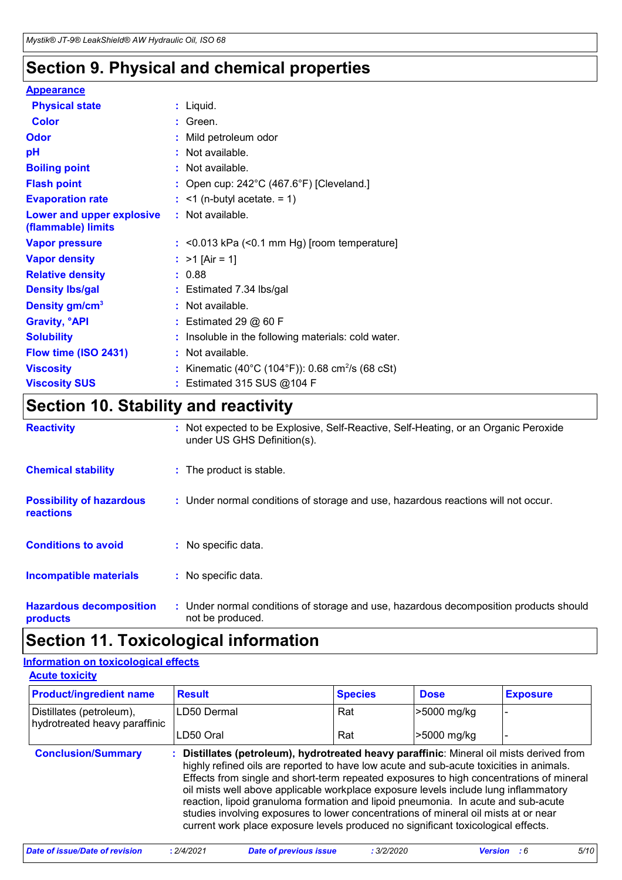# **Section 9. Physical and chemical properties**

### **Appearance**

| <b>Physical state</b>                           | $:$ Liquid.                                                  |
|-------------------------------------------------|--------------------------------------------------------------|
| <b>Color</b>                                    | $:$ Green.                                                   |
| <b>Odor</b>                                     | : Mild petroleum odor                                        |
| pH                                              | : Not available.                                             |
| <b>Boiling point</b>                            | : Not available.                                             |
| <b>Flash point</b>                              | : Open cup: $242^{\circ}$ C (467.6°F) [Cleveland.]           |
| <b>Evaporation rate</b>                         | $:$ <1 (n-butyl acetate. = 1)                                |
| Lower and upper explosive<br>(flammable) limits | : Not available.                                             |
| <b>Vapor pressure</b>                           | $:$ <0.013 kPa (<0.1 mm Hg) [room temperature]               |
| <b>Vapor density</b>                            | : $>1$ [Air = 1]                                             |
| <b>Relative density</b>                         | : 0.88                                                       |
| <b>Density Ibs/gal</b>                          | $:$ Estimated 7.34 lbs/gal                                   |
| Density gm/cm <sup>3</sup>                      | : Not available.                                             |
| <b>Gravity, <sup>o</sup>API</b>                 | $:$ Estimated 29 $@$ 60 F                                    |
| <b>Solubility</b>                               | : Insoluble in the following materials: cold water.          |
| Flow time (ISO 2431)                            | : Not available.                                             |
| <b>Viscosity</b>                                | : Kinematic (40°C (104°F)): 0.68 cm <sup>2</sup> /s (68 cSt) |
| <b>Viscosity SUS</b>                            | $:$ Estimated 315 SUS @104 F                                 |

# **Section 10. Stability and reactivity**

| <b>Reactivity</b>                                   | : Not expected to be Explosive, Self-Reactive, Self-Heating, or an Organic Peroxide<br>under US GHS Definition(s). |
|-----------------------------------------------------|--------------------------------------------------------------------------------------------------------------------|
| <b>Chemical stability</b>                           | : The product is stable.                                                                                           |
| <b>Possibility of hazardous</b><br><b>reactions</b> | : Under normal conditions of storage and use, hazardous reactions will not occur.                                  |
| <b>Conditions to avoid</b>                          | : No specific data.                                                                                                |
| Incompatible materials                              | : No specific data.                                                                                                |
| <b>Hazardous decomposition</b><br>products          | : Under normal conditions of storage and use, hazardous decomposition products should<br>not be produced.          |

# **Section 11. Toxicological information**

#### **Acute toxicity Information on toxicological effects**

| LAND MAINIL                                               |               |                |             |                 |
|-----------------------------------------------------------|---------------|----------------|-------------|-----------------|
| <b>Product/ingredient name</b>                            | <b>Result</b> | <b>Species</b> | <b>Dose</b> | <b>Exposure</b> |
| Distillates (petroleum),<br>hydrotreated heavy paraffinic | ILD50 Dermal  | Rat            | >5000 mg/kg |                 |
|                                                           | LD50 Oral     | Rat            | >5000 mg/kg |                 |

| <b>Conclusion/Summary</b> | : Distillates (petroleum), hydrotreated heavy paraffinic: Mineral oil mists derived from |
|---------------------------|------------------------------------------------------------------------------------------|
|                           | highly refined oils are reported to have low acute and sub-acute toxicities in animals.  |
|                           | Effects from single and short-term repeated exposures to high concentrations of mineral  |
|                           | oil mists well above applicable workplace exposure levels include lung inflammatory      |
|                           | reaction, lipoid granuloma formation and lipoid pneumonia. In acute and sub-acute        |
|                           | studies involving exposures to lower concentrations of mineral oil mists at or near      |
|                           | current work place exposure levels produced no significant toxicological effects.        |
|                           |                                                                                          |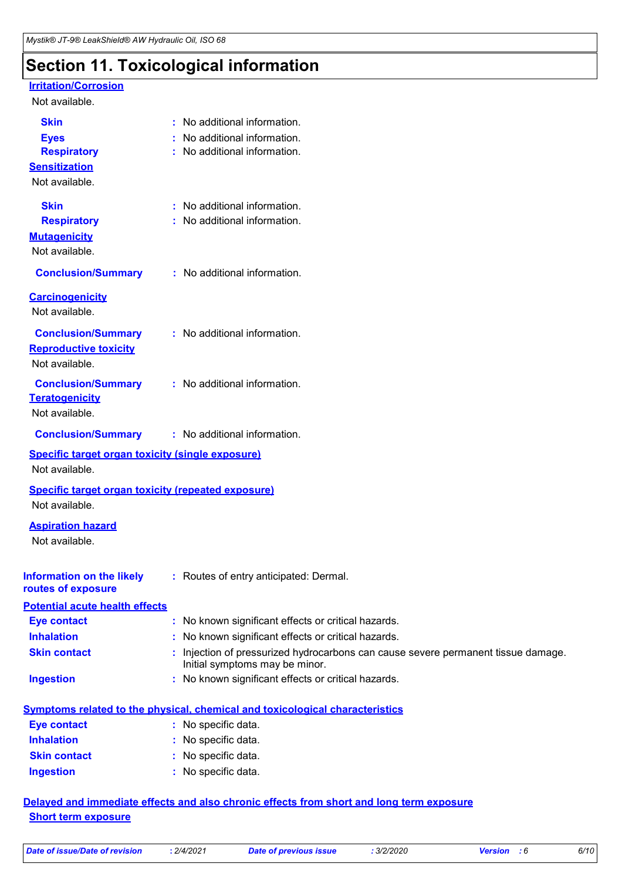# **Section 11. Toxicological information**

### **Irritation/Corrosion**

#### Not available.

| <b>Skin</b>                                               | : No additional information.                                                                                        |
|-----------------------------------------------------------|---------------------------------------------------------------------------------------------------------------------|
| <b>Eyes</b>                                               | No additional information.                                                                                          |
| <b>Respiratory</b>                                        | : No additional information.                                                                                        |
| <b>Sensitization</b>                                      |                                                                                                                     |
| Not available.                                            |                                                                                                                     |
| <b>Skin</b>                                               | : No additional information.                                                                                        |
| <b>Respiratory</b>                                        | : No additional information.                                                                                        |
| <b>Mutagenicity</b>                                       |                                                                                                                     |
| Not available.                                            |                                                                                                                     |
| <b>Conclusion/Summary</b>                                 | : No additional information.                                                                                        |
| <b>Carcinogenicity</b>                                    |                                                                                                                     |
| Not available.                                            |                                                                                                                     |
| <b>Conclusion/Summary</b>                                 | : No additional information.                                                                                        |
| <b>Reproductive toxicity</b>                              |                                                                                                                     |
| Not available.                                            |                                                                                                                     |
| <b>Conclusion/Summary</b>                                 | : No additional information.                                                                                        |
| <b>Teratogenicity</b>                                     |                                                                                                                     |
| Not available.                                            |                                                                                                                     |
| <b>Conclusion/Summary</b>                                 | : No additional information.                                                                                        |
| Specific target organ toxicity (single exposure)          |                                                                                                                     |
| Not available.                                            |                                                                                                                     |
| <b>Specific target organ toxicity (repeated exposure)</b> |                                                                                                                     |
| Not available.                                            |                                                                                                                     |
| <b>Aspiration hazard</b>                                  |                                                                                                                     |
| Not available.                                            |                                                                                                                     |
|                                                           |                                                                                                                     |
| <b>Information on the likely</b>                          | : Routes of entry anticipated: Dermal.                                                                              |
| routes of exposure                                        |                                                                                                                     |
| <b>Potential acute health effects</b>                     |                                                                                                                     |
| <b>Eye contact</b>                                        | : No known significant effects or critical hazards.                                                                 |
| <b>Inhalation</b>                                         | : No known significant effects or critical hazards.                                                                 |
| <b>Skin contact</b>                                       | : Injection of pressurized hydrocarbons can cause severe permanent tissue damage.<br>Initial symptoms may be minor. |
| <b>Ingestion</b>                                          | : No known significant effects or critical hazards.                                                                 |
|                                                           | <b>Symptoms related to the physical, chemical and toxicological characteristics</b>                                 |
| <b>Eye contact</b>                                        | : No specific data.                                                                                                 |
| <b>Inhalation</b>                                         | : No specific data.                                                                                                 |
|                                                           |                                                                                                                     |

| : No specific data. |
|---------------------|
| : No specific data. |
| : No specific data. |
|                     |

### **Delayed and immediate effects and also chronic effects from short and long term exposure Short term exposure**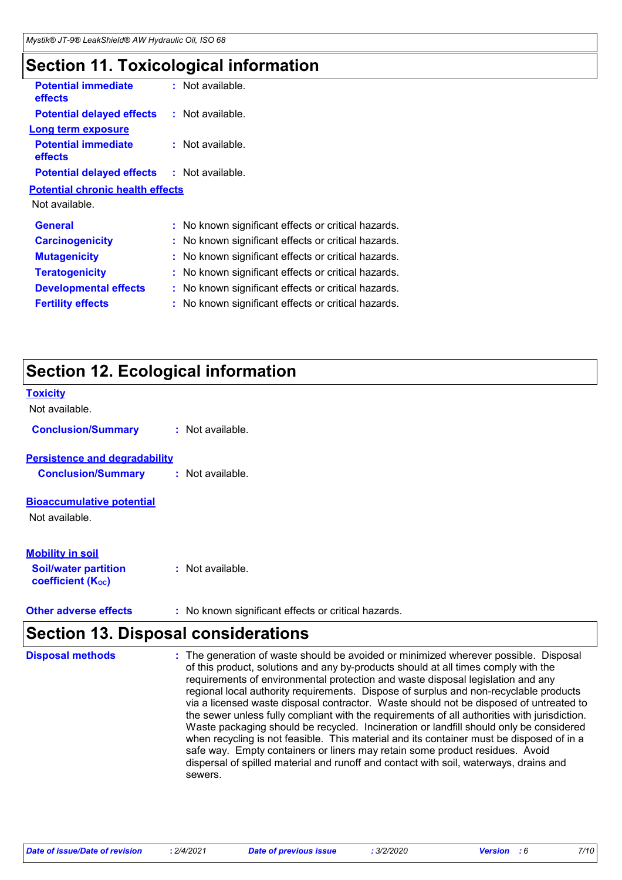# **Section 11. Toxicological information**

| <b>Potential immediate</b><br>effects        |    | : Not available.                                    |
|----------------------------------------------|----|-----------------------------------------------------|
| <b>Potential delayed effects</b>             |    | $:$ Not available.                                  |
| <b>Long term exposure</b>                    |    |                                                     |
| <b>Potential immediate</b><br><b>effects</b> |    | : Not available.                                    |
| <b>Potential delayed effects</b>             |    | : Not available.                                    |
| <b>Potential chronic health effects</b>      |    |                                                     |
| Not available.                               |    |                                                     |
| General                                      |    | : No known significant effects or critical hazards. |
| <b>Carcinogenicity</b>                       |    | : No known significant effects or critical hazards. |
| <b>Mutagenicity</b>                          |    | No known significant effects or critical hazards.   |
| <b>Teratogenicity</b>                        |    | : No known significant effects or critical hazards. |
| <b>Developmental effects</b>                 | ÷. | No known significant effects or critical hazards.   |
| <b>Fertility effects</b>                     | t. | No known significant effects or critical hazards.   |
|                                              |    |                                                     |

# **Section 12. Ecological information**

| <b>Toxicity</b><br>Not available.                       |                  |
|---------------------------------------------------------|------------------|
|                                                         |                  |
| <b>Conclusion/Summary</b>                               | : Not available. |
| <b>Persistence and degradability</b>                    |                  |
| <b>Conclusion/Summary</b>                               | : Not available. |
| <b>Bioaccumulative potential</b>                        |                  |
| Not available.                                          |                  |
|                                                         |                  |
| <b>Mobility in soil</b>                                 |                  |
| <b>Soil/water partition</b><br><b>coefficient (Koc)</b> | : Not available. |

**Other adverse effects** : No known significant effects or critical hazards.

# **Section 13. Disposal considerations**

| <b>Disposal methods</b> | : The generation of waste should be avoided or minimized wherever possible. Disposal<br>of this product, solutions and any by-products should at all times comply with the<br>requirements of environmental protection and waste disposal legislation and any<br>regional local authority requirements. Dispose of surplus and non-recyclable products<br>via a licensed waste disposal contractor. Waste should not be disposed of untreated to<br>the sewer unless fully compliant with the requirements of all authorities with jurisdiction.<br>Waste packaging should be recycled. Incineration or landfill should only be considered<br>when recycling is not feasible. This material and its container must be disposed of in a<br>safe way. Empty containers or liners may retain some product residues. Avoid<br>dispersal of spilled material and runoff and contact with soil, waterways, drains and<br>sewers. |
|-------------------------|----------------------------------------------------------------------------------------------------------------------------------------------------------------------------------------------------------------------------------------------------------------------------------------------------------------------------------------------------------------------------------------------------------------------------------------------------------------------------------------------------------------------------------------------------------------------------------------------------------------------------------------------------------------------------------------------------------------------------------------------------------------------------------------------------------------------------------------------------------------------------------------------------------------------------|
|-------------------------|----------------------------------------------------------------------------------------------------------------------------------------------------------------------------------------------------------------------------------------------------------------------------------------------------------------------------------------------------------------------------------------------------------------------------------------------------------------------------------------------------------------------------------------------------------------------------------------------------------------------------------------------------------------------------------------------------------------------------------------------------------------------------------------------------------------------------------------------------------------------------------------------------------------------------|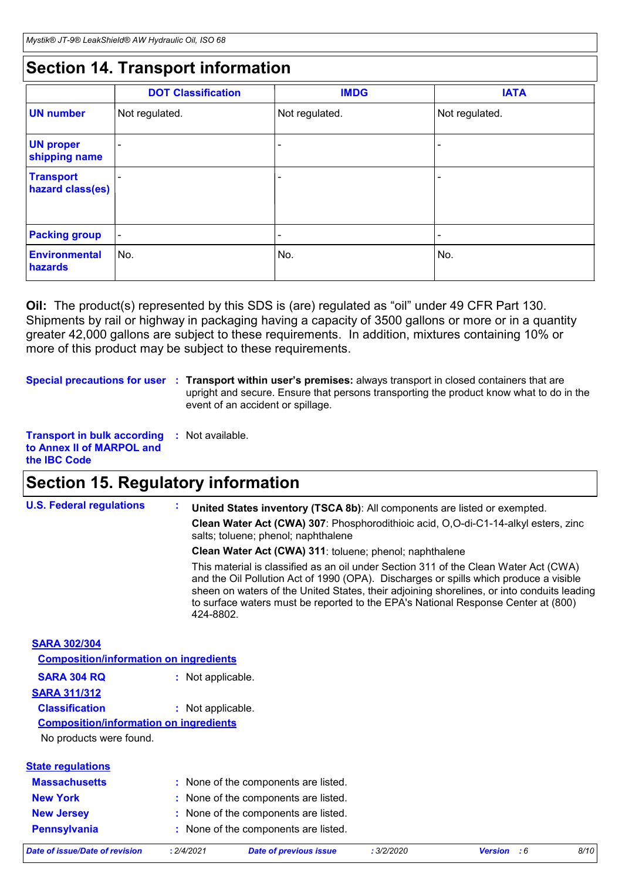# **Section 14. Transport information**

|                                      | <b>DOT Classification</b> | <b>IMDG</b>    | <b>IATA</b>    |
|--------------------------------------|---------------------------|----------------|----------------|
| <b>UN number</b>                     | Not regulated.            | Not regulated. | Not regulated. |
| <b>UN proper</b><br>shipping name    |                           |                |                |
| <b>Transport</b><br>hazard class(es) |                           |                |                |
| <b>Packing group</b>                 | $\overline{\phantom{a}}$  |                | -              |
| Environmental<br>hazards             | No.                       | No.            | No.            |

**Oil:** The product(s) represented by this SDS is (are) regulated as "oil" under 49 CFR Part 130. Shipments by rail or highway in packaging having a capacity of 3500 gallons or more or in a quantity greater 42,000 gallons are subject to these requirements. In addition, mixtures containing 10% or more of this product may be subject to these requirements.

**Special precautions for user** : Transport within user's premises: always transport in closed containers that are upright and secure. Ensure that persons transporting the product know what to do in the event of an accident or spillage.

```
Transport in bulk according 
: Not available.
to Annex II of MARPOL and 
the IBC Code
```
# **Section 15. Regulatory information**

| <b>U.S. Federal regulations</b>               | ÷.<br>United States inventory (TSCA 8b): All components are listed or exempted.<br>Clean Water Act (CWA) 307: Phosphorodithioic acid, O,O-di-C1-14-alkyl esters, zinc<br>salts; toluene; phenol; naphthalene<br>Clean Water Act (CWA) 311: toluene; phenol; naphthalene<br>This material is classified as an oil under Section 311 of the Clean Water Act (CWA) |
|-----------------------------------------------|-----------------------------------------------------------------------------------------------------------------------------------------------------------------------------------------------------------------------------------------------------------------------------------------------------------------------------------------------------------------|
|                                               | and the Oil Pollution Act of 1990 (OPA). Discharges or spills which produce a visible<br>sheen on waters of the United States, their adjoining shorelines, or into conduits leading<br>to surface waters must be reported to the EPA's National Response Center at (800)<br>424-8802.                                                                           |
| <b>SARA 302/304</b>                           |                                                                                                                                                                                                                                                                                                                                                                 |
| <b>Composition/information on ingredients</b> |                                                                                                                                                                                                                                                                                                                                                                 |
| <b>SARA 304 RQ</b>                            | : Not applicable.                                                                                                                                                                                                                                                                                                                                               |
| <b>SARA 311/312</b>                           |                                                                                                                                                                                                                                                                                                                                                                 |
| <b>Classification</b>                         | : Not applicable.                                                                                                                                                                                                                                                                                                                                               |
| <b>Composition/information on ingredients</b> |                                                                                                                                                                                                                                                                                                                                                                 |
| No products were found.                       |                                                                                                                                                                                                                                                                                                                                                                 |
| <b>State regulations</b>                      |                                                                                                                                                                                                                                                                                                                                                                 |
| <b>Massachusetts</b>                          | : None of the components are listed.                                                                                                                                                                                                                                                                                                                            |
| <b>New York</b>                               | : None of the components are listed.                                                                                                                                                                                                                                                                                                                            |

| <b>Pennsylvania</b>            |          | None of the components are listed. |            |                    |      |
|--------------------------------|----------|------------------------------------|------------|--------------------|------|
| Date of issue/Date of revision | 2/4/2021 | <b>Date of previous issue</b>      | : 3/2/2020 | <b>Version</b> : 6 | 8/10 |

**New Jersey :** None of the components are listed.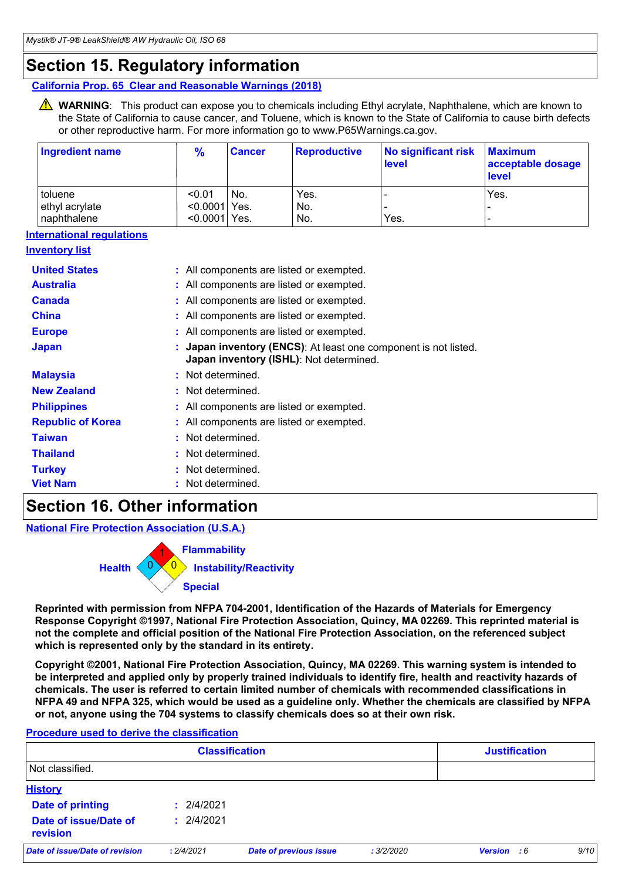# **Section 15. Regulatory information**

**California Prop. 65 Clear and Reasonable Warnings (2018)**

WARNING: This product can expose you to chemicals including Ethyl acrylate, Naphthalene, which are known to the State of California to cause cancer, and Toluene, which is known to the State of California to cause birth defects or other reproductive harm. For more information go to www.P65Warnings.ca.gov.

| <b>Ingredient name</b>           | $\frac{9}{6}$ | <b>Cancer</b>   | <b>Reproductive</b>                      | <b>No significant risk</b><br>level                           | <b>Maximum</b><br>acceptable dosage<br>level |
|----------------------------------|---------------|-----------------|------------------------------------------|---------------------------------------------------------------|----------------------------------------------|
| toluene                          | < 0.01        | No.             | Yes.                                     |                                                               | Yes.                                         |
| ethyl acrylate                   |               | <0.0001 Yes.    | No.                                      |                                                               |                                              |
| naphthalene                      |               | <0.0001 Yes.    | No.                                      | Yes.                                                          |                                              |
| <b>International regulations</b> |               |                 |                                          |                                                               |                                              |
| <b>Inventory list</b>            |               |                 |                                          |                                                               |                                              |
| <b>United States</b>             |               |                 | : All components are listed or exempted. |                                                               |                                              |
| <b>Australia</b>                 |               |                 | : All components are listed or exempted. |                                                               |                                              |
| <b>Canada</b>                    |               |                 | : All components are listed or exempted. |                                                               |                                              |
| <b>China</b>                     |               |                 | : All components are listed or exempted. |                                                               |                                              |
| <b>Europe</b>                    |               |                 | All components are listed or exempted.   |                                                               |                                              |
| <b>Japan</b>                     |               |                 | Japan inventory (ISHL): Not determined.  | Japan inventory (ENCS): At least one component is not listed. |                                              |
| <b>Malaysia</b>                  |               | Not determined. |                                          |                                                               |                                              |
| <b>New Zealand</b>               |               | Not determined. |                                          |                                                               |                                              |
| <b>Philippines</b>               |               |                 | : All components are listed or exempted. |                                                               |                                              |
| <b>Republic of Korea</b>         |               |                 | : All components are listed or exempted. |                                                               |                                              |
| <b>Taiwan</b>                    |               | Not determined. |                                          |                                                               |                                              |
| <b>Thailand</b>                  |               | Not determined. |                                          |                                                               |                                              |
| <b>Turkey</b>                    |               | Not determined. |                                          |                                                               |                                              |
| <b>Viet Nam</b>                  |               | Not determined. |                                          |                                                               |                                              |
|                                  |               |                 |                                          |                                                               |                                              |

## **Section 16. Other information**

**National Fire Protection Association (U.S.A.)**



**Reprinted with permission from NFPA 704-2001, Identification of the Hazards of Materials for Emergency Response Copyright ©1997, National Fire Protection Association, Quincy, MA 02269. This reprinted material is not the complete and official position of the National Fire Protection Association, on the referenced subject which is represented only by the standard in its entirety.**

**Copyright ©2001, National Fire Protection Association, Quincy, MA 02269. This warning system is intended to be interpreted and applied only by properly trained individuals to identify fire, health and reactivity hazards of chemicals. The user is referred to certain limited number of chemicals with recommended classifications in NFPA 49 and NFPA 325, which would be used as a guideline only. Whether the chemicals are classified by NFPA or not, anyone using the 704 systems to classify chemicals does so at their own risk.**

### 2/4/2021 **: History Date of printing Date of issue/Date of revision :** 2/4/2021 **Classification Justification** Not classified. *Date of issue/Date of revision* **:** *2/4/2021 Date of previous issue : 3/2/2020 Version : 6 9/10*

### **Procedure used to derive the classification**